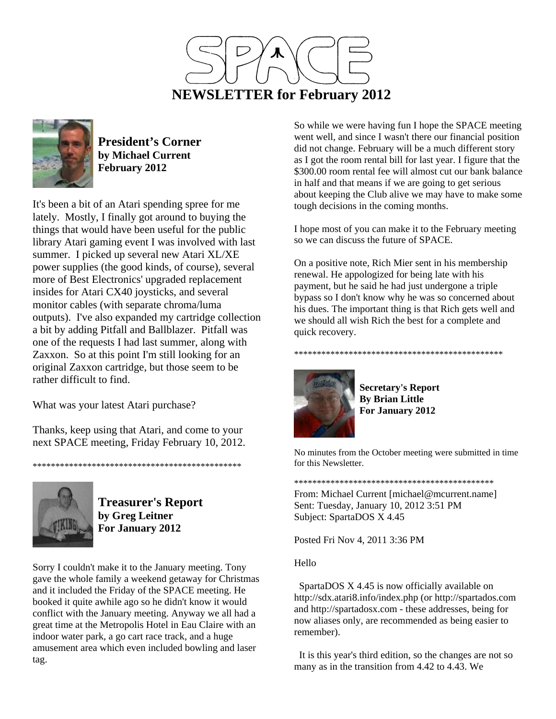



**President's Corner by Michael Current February 2012**

It's been a bit of an Atari spending spree for me lately. Mostly, I finally got around to buying the things that would have been useful for the public library Atari gaming event I was involved with last summer. I picked up several new Atari XL/XE power supplies (the good kinds, of course), several more of Best Electronics' upgraded replacement insides for Atari CX40 joysticks, and several monitor cables (with separate chroma/luma outputs). I've also expanded my cartridge collection a bit by adding Pitfall and Ballblazer. Pitfall was one of the requests I had last summer, along with Zaxxon. So at this point I'm still looking for an original Zaxxon cartridge, but those seem to be rather difficult to find.

What was your latest Atari purchase?

Thanks, keep using that Atari, and come to your next SPACE meeting, Friday February 10, 2012.

\*\*\*\*\*\*\*\*\*\*\*\*\*\*\*\*\*\*\*\*\*\*\*\*\*\*\*\*\*\*\*\*\*\*\*\*\*\*\*\*\*\*\*\*\*\*



**Treasurer's Report by Greg Leitner For January 2012** 

Sorry I couldn't make it to the January meeting. Tony gave the whole family a weekend getaway for Christmas and it included the Friday of the SPACE meeting. He booked it quite awhile ago so he didn't know it would conflict with the January meeting. Anyway we all had a great time at the Metropolis Hotel in Eau Claire with an indoor water park, a go cart race track, and a huge amusement area which even included bowling and laser tag.

So while we were having fun I hope the SPACE meeting went well, and since I wasn't there our financial position did not change. February will be a much different story as I got the room rental bill for last year. I figure that the \$300.00 room rental fee will almost cut our bank balance in half and that means if we are going to get serious about keeping the Club alive we may have to make some tough decisions in the coming months.

I hope most of you can make it to the February meeting so we can discuss the future of SPACE.

On a positive note, Rich Mier sent in his membership renewal. He appologized for being late with his payment, but he said he had just undergone a triple bypass so I don't know why he was so concerned about his dues. The important thing is that Rich gets well and we should all wish Rich the best for a complete and quick recovery.

\*\*\*\*\*\*\*\*\*\*\*\*\*\*\*\*\*\*\*\*\*\*\*\*\*\*\*\*\*\*\*\*\*\*\*\*\*\*\*\*\*\*\*\*\*\*



**Secretary's Report By Brian Little For January 2012** 

No minutes from the October meeting were submitted in time for this Newsletter.

\*\*\*\*\*\*\*\*\*\*\*\*\*\*\*\*\*\*\*\*\*\*\*\*\*\*\*\*\*\*\*\*\*\*\*\*\*\*\*\*\*\*\*\*

From: Michael Current [michael@mcurrent.name] Sent: Tuesday, January 10, 2012 3:51 PM Subject: SpartaDOS X 4.45

Posted Fri Nov 4, 2011 3:36 PM

## Hello

 SpartaDOS X 4.45 is now officially available on http://sdx.atari8.info/index.php (or http://spartados.com and http://spartadosx.com - these addresses, being for now aliases only, are recommended as being easier to remember).

 It is this year's third edition, so the changes are not so many as in the transition from 4.42 to 4.43. We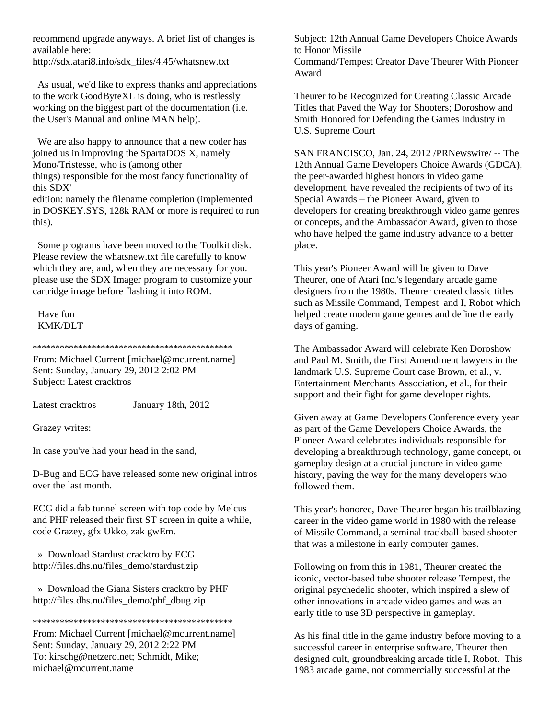recommend upgrade anyways. A brief list of changes is available here:

http://sdx.atari8.info/sdx\_files/4.45/whatsnew.txt

 As usual, we'd like to express thanks and appreciations to the work GoodByteXL is doing, who is restlessly working on the biggest part of the documentation (i.e. the User's Manual and online MAN help).

 We are also happy to announce that a new coder has joined us in improving the SpartaDOS X, namely Mono/Tristesse, who is (among other things) responsible for the most fancy functionality of this SDX' edition: namely the filename completion (implemented in DOSKEY.SYS, 128k RAM or more is required to run

 Some programs have been moved to the Toolkit disk. Please review the whatsnew.txt file carefully to know which they are, and, when they are necessary for you. please use the SDX Imager program to customize your

 Have fun KMK/DLT

this).

\*\*\*\*\*\*\*\*\*\*\*\*\*\*\*\*\*\*\*\*\*\*\*\*\*\*\*\*\*\*\*\*\*\*\*\*\*\*\*\*\*\*\*\*

cartridge image before flashing it into ROM.

From: Michael Current [michael@mcurrent.name] Sent: Sunday, January 29, 2012 2:02 PM Subject: Latest cracktros

Latest cracktros January 18th, 2012

Grazey writes:

In case you've had your head in the sand,

D-Bug and ECG have released some new original intros over the last month.

ECG did a fab tunnel screen with top code by Melcus and PHF released their first ST screen in quite a while, code Grazey, gfx Ukko, zak gwEm.

 » Download Stardust cracktro by ECG http://files.dhs.nu/files\_demo/stardust.zip

 » Download the Giana Sisters cracktro by PHF http://files.dhs.nu/files\_demo/phf\_dbug.zip

\*\*\*\*\*\*\*\*\*\*\*\*\*\*\*\*\*\*\*\*\*\*\*\*\*\*\*\*\*\*\*\*\*\*\*\*\*\*\*\*\*\*\*\*

From: Michael Current [michael@mcurrent.name] Sent: Sunday, January 29, 2012 2:22 PM To: kirschg@netzero.net; Schmidt, Mike; michael@mcurrent.name

Subject: 12th Annual Game Developers Choice Awards to Honor Missile

Command/Tempest Creator Dave Theurer With Pioneer Award

Theurer to be Recognized for Creating Classic Arcade Titles that Paved the Way for Shooters; Doroshow and Smith Honored for Defending the Games Industry in U.S. Supreme Court

SAN FRANCISCO, Jan. 24, 2012 /PRNewswire/ -- The 12th Annual Game Developers Choice Awards (GDCA), the peer-awarded highest honors in video game development, have revealed the recipients of two of its Special Awards – the Pioneer Award, given to developers for creating breakthrough video game genres or concepts, and the Ambassador Award, given to those who have helped the game industry advance to a better place.

This year's Pioneer Award will be given to Dave Theurer, one of Atari Inc.'s legendary arcade game designers from the 1980s. Theurer created classic titles such as Missile Command, Tempest and I, Robot which helped create modern game genres and define the early days of gaming.

The Ambassador Award will celebrate Ken Doroshow and Paul M. Smith, the First Amendment lawyers in the landmark U.S. Supreme Court case Brown, et al., v. Entertainment Merchants Association, et al., for their support and their fight for game developer rights.

Given away at Game Developers Conference every year as part of the Game Developers Choice Awards, the Pioneer Award celebrates individuals responsible for developing a breakthrough technology, game concept, or gameplay design at a crucial juncture in video game history, paving the way for the many developers who followed them.

This year's honoree, Dave Theurer began his trailblazing career in the video game world in 1980 with the release of Missile Command, a seminal trackball-based shooter that was a milestone in early computer games.

Following on from this in 1981, Theurer created the iconic, vector-based tube shooter release Tempest, the original psychedelic shooter, which inspired a slew of other innovations in arcade video games and was an early title to use 3D perspective in gameplay.

As his final title in the game industry before moving to a successful career in enterprise software, Theurer then designed cult, groundbreaking arcade title I, Robot. This 1983 arcade game, not commercially successful at the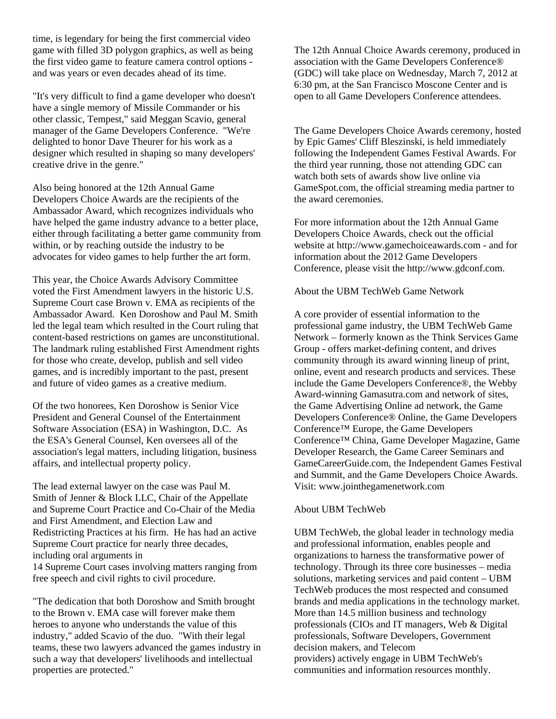time, is legendary for being the first commercial video game with filled 3D polygon graphics, as well as being the first video game to feature camera control options and was years or even decades ahead of its time.

"It's very difficult to find a game developer who doesn't have a single memory of Missile Commander or his other classic, Tempest," said Meggan Scavio, general manager of the Game Developers Conference. "We're delighted to honor Dave Theurer for his work as a designer which resulted in shaping so many developers' creative drive in the genre."

Also being honored at the 12th Annual Game Developers Choice Awards are the recipients of the Ambassador Award, which recognizes individuals who have helped the game industry advance to a better place, either through facilitating a better game community from within, or by reaching outside the industry to be advocates for video games to help further the art form.

This year, the Choice Awards Advisory Committee voted the First Amendment lawyers in the historic U.S. Supreme Court case Brown v. EMA as recipients of the Ambassador Award. Ken Doroshow and Paul M. Smith led the legal team which resulted in the Court ruling that content-based restrictions on games are unconstitutional. The landmark ruling established First Amendment rights for those who create, develop, publish and sell video games, and is incredibly important to the past, present and future of video games as a creative medium.

Of the two honorees, Ken Doroshow is Senior Vice President and General Counsel of the Entertainment Software Association (ESA) in Washington, D.C. As the ESA's General Counsel, Ken oversees all of the association's legal matters, including litigation, business affairs, and intellectual property policy.

The lead external lawyer on the case was Paul M. Smith of Jenner & Block LLC, Chair of the Appellate and Supreme Court Practice and Co-Chair of the Media and First Amendment, and Election Law and Redistricting Practices at his firm. He has had an active Supreme Court practice for nearly three decades, including oral arguments in 14 Supreme Court cases involving matters ranging from free speech and civil rights to civil procedure.

"The dedication that both Doroshow and Smith brought to the Brown v. EMA case will forever make them heroes to anyone who understands the value of this industry," added Scavio of the duo. "With their legal teams, these two lawyers advanced the games industry in such a way that developers' livelihoods and intellectual properties are protected."

The 12th Annual Choice Awards ceremony, produced in association with the Game Developers Conference® (GDC) will take place on Wednesday, March 7, 2012 at 6:30 pm, at the San Francisco Moscone Center and is open to all Game Developers Conference attendees.

The Game Developers Choice Awards ceremony, hosted by Epic Games' Cliff Bleszinski, is held immediately following the Independent Games Festival Awards. For the third year running, those not attending GDC can watch both sets of awards show live online via GameSpot.com, the official streaming media partner to the award ceremonies.

For more information about the 12th Annual Game Developers Choice Awards, check out the official website at http://www.gamechoiceawards.com - and for information about the 2012 Game Developers Conference, please visit the http://www.gdconf.com.

About the UBM TechWeb Game Network

A core provider of essential information to the professional game industry, the UBM TechWeb Game Network – formerly known as the Think Services Game Group - offers market-defining content, and drives community through its award winning lineup of print, online, event and research products and services. These include the Game Developers Conference®, the Webby Award-winning Gamasutra.com and network of sites, the Game Advertising Online ad network, the Game Developers Conference® Online, the Game Developers Conference™ Europe, the Game Developers Conference™ China, Game Developer Magazine, Game Developer Research, the Game Career Seminars and GameCareerGuide.com, the Independent Games Festival and Summit, and the Game Developers Choice Awards. Visit: www.jointhegamenetwork.com

## About UBM TechWeb

UBM TechWeb, the global leader in technology media and professional information, enables people and organizations to harness the transformative power of technology. Through its three core businesses – media solutions, marketing services and paid content – UBM TechWeb produces the most respected and consumed brands and media applications in the technology market. More than 14.5 million business and technology professionals (CIOs and IT managers, Web & Digital professionals, Software Developers, Government decision makers, and Telecom providers) actively engage in UBM TechWeb's communities and information resources monthly.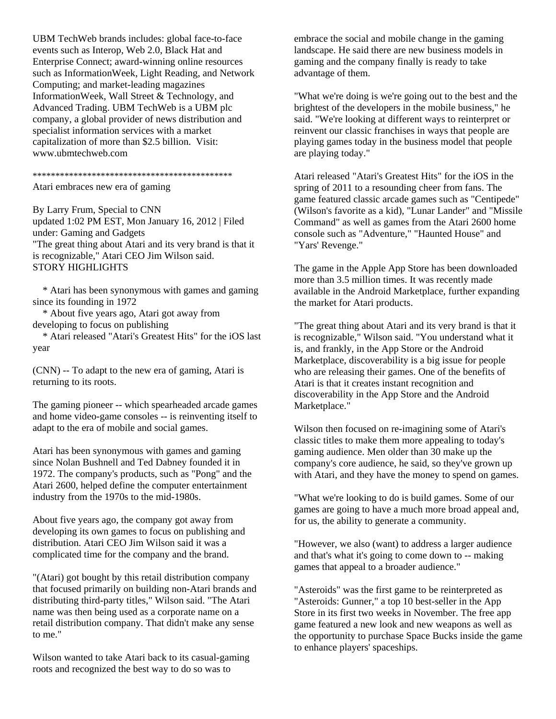UBM TechWeb brands includes: global face-to-face events such as Interop, Web 2.0, Black Hat and Enterprise Connect; award-winning online resources such as InformationWeek, Light Reading, and Network Computing; and market-leading magazines InformationWeek, Wall Street & Technology, and Advanced Trading. UBM TechWeb is a UBM plc company, a global provider of news distribution and specialist information services with a market capitalization of more than \$2.5 billion. Visit: www.ubmtechweb.com

\*\*\*\*\*\*\*\*\*\*\*\*\*\*\*\*\*\*\*\*\*\*\*\*\*\*\*\*\*\*\*\*\*\*\*\*\*\*\*\*\*\*\*\*

Atari embraces new era of gaming

By Larry Frum, Special to CNN updated 1:02 PM EST, Mon January 16, 2012 | Filed under: Gaming and Gadgets "The great thing about Atari and its very brand is that it is recognizable," Atari CEO Jim Wilson said. STORY HIGHLIGHTS

 \* Atari has been synonymous with games and gaming since its founding in 1972

 \* About five years ago, Atari got away from developing to focus on publishing

 \* Atari released "Atari's Greatest Hits" for the iOS last year

(CNN) -- To adapt to the new era of gaming, Atari is returning to its roots.

The gaming pioneer -- which spearheaded arcade games and home video-game consoles -- is reinventing itself to adapt to the era of mobile and social games.

Atari has been synonymous with games and gaming since Nolan Bushnell and Ted Dabney founded it in 1972. The company's products, such as "Pong" and the Atari 2600, helped define the computer entertainment industry from the 1970s to the mid-1980s.

About five years ago, the company got away from developing its own games to focus on publishing and distribution. Atari CEO Jim Wilson said it was a complicated time for the company and the brand.

"(Atari) got bought by this retail distribution company that focused primarily on building non-Atari brands and distributing third-party titles," Wilson said. "The Atari name was then being used as a corporate name on a retail distribution company. That didn't make any sense to me."

Wilson wanted to take Atari back to its casual-gaming roots and recognized the best way to do so was to

embrace the social and mobile change in the gaming landscape. He said there are new business models in gaming and the company finally is ready to take advantage of them.

"What we're doing is we're going out to the best and the brightest of the developers in the mobile business," he said. "We're looking at different ways to reinterpret or reinvent our classic franchises in ways that people are playing games today in the business model that people are playing today."

Atari released "Atari's Greatest Hits" for the iOS in the spring of 2011 to a resounding cheer from fans. The game featured classic arcade games such as "Centipede" (Wilson's favorite as a kid), "Lunar Lander" and "Missile Command" as well as games from the Atari 2600 home console such as "Adventure," "Haunted House" and "Yars' Revenge."

The game in the Apple App Store has been downloaded more than 3.5 million times. It was recently made available in the Android Marketplace, further expanding the market for Atari products.

"The great thing about Atari and its very brand is that it is recognizable," Wilson said. "You understand what it is, and frankly, in the App Store or the Android Marketplace, discoverability is a big issue for people who are releasing their games. One of the benefits of Atari is that it creates instant recognition and discoverability in the App Store and the Android Marketplace."

Wilson then focused on re-imagining some of Atari's classic titles to make them more appealing to today's gaming audience. Men older than 30 make up the company's core audience, he said, so they've grown up with Atari, and they have the money to spend on games.

"What we're looking to do is build games. Some of our games are going to have a much more broad appeal and, for us, the ability to generate a community.

"However, we also (want) to address a larger audience and that's what it's going to come down to -- making games that appeal to a broader audience."

"Asteroids" was the first game to be reinterpreted as "Asteroids: Gunner," a top 10 best-seller in the App Store in its first two weeks in November. The free app game featured a new look and new weapons as well as the opportunity to purchase Space Bucks inside the game to enhance players' spaceships.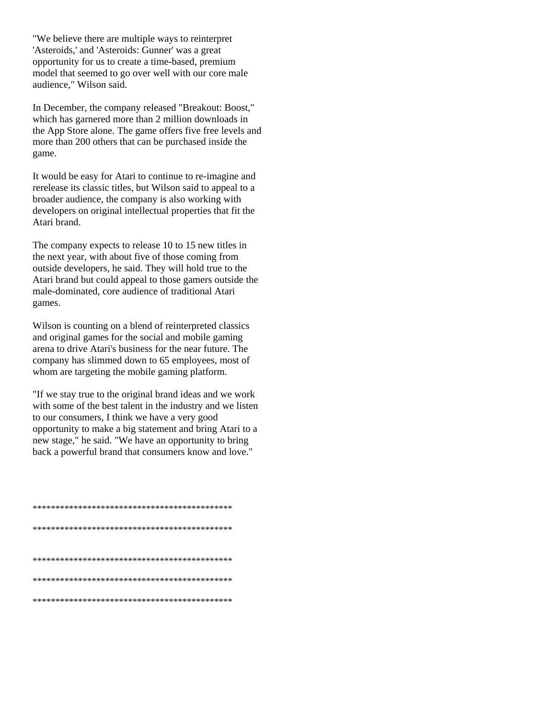"We believe there are multiple ways to reinterpret 'Asteroids,' and 'Asteroids: Gunner' was a great opportunity for us to create a time-based, premium model that seemed to go over well with our core male audience," Wilson said.

In December, the company released "Breakout: Boost," which has garnered more than 2 million downloads in the App Store alone. The game offers five free levels and more than 200 others that can be purchased inside the game.

It would be easy for Atari to continue to re-imagine and rerelease its classic titles, but Wilson said to appeal to a broader audience, the company is also working with developers on original intellectual properties that fit the Atari brand.

The company expects to release 10 to 15 new titles in the next year, with about five of those coming from outside developers, he said. They will hold true to the Atari brand but could appeal to those gamers outside the male-dominated, core audience of traditional Atari games.

Wilson is counting on a blend of reinterpreted classics and original games for the social and mobile gaming arena to drive Atari's business for the near future. The company has slimmed down to 65 employees, most of whom are targeting the mobile gaming platform.

"If we stay true to the original brand ideas and we work with some of the best talent in the industry and we listen to our consumers, I think we have a very good opportunity to make a big statement and bring Atari to a new stage," he said. "We have an opportunity to bring back a powerful brand that consumers know and love."